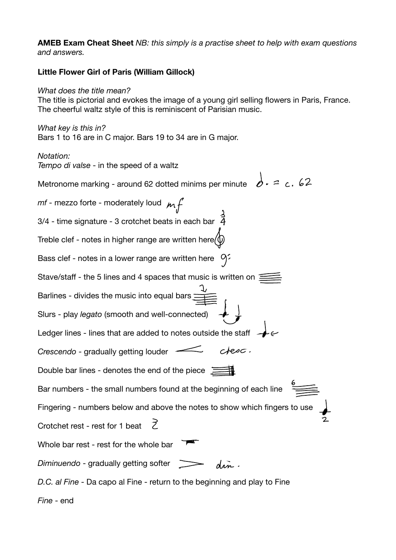**AMEB Exam Cheat Sheet** *NB: this simply is a practise sheet to help with exam questions and answers.* 

## **Little Flower Girl of Paris (William Gillock)**

## *What does the title mean?*

The title is pictorial and evokes the image of a young girl selling flowers in Paris, France. The cheerful waltz style of this is reminiscent of Parisian music.

*What key is this in?*  Bars 1 to 16 are in C major. Bars 19 to 34 are in G major.

*Notation:* 

*Tempo di valse* - in the speed of a waltz

Metronome marking - around 62 dotted minims per minute  $\phi \cdot 2$  c. 62  $m$ f - mezzo forte - moderately loud  $m \not\!\!\!\!\!/\,$  $3/4$  - time signature - 3 crotchet beats in each bar  $\frac{3}{4}$ Treble clef - notes in higher range are written here $\langle \mathbb{Q} \rangle$ Bass clef - notes in a lower range are written here  $9^5$ Stave/staff - the 5 lines and 4 spaces that music is written on  $\equiv$ Barlines - divides the music into equal bars  $\equiv$ Slurs - play *legato* (smooth and well-connected) Ledger lines - lines that are added to notes outside the staff  $\rightarrow$  $\epsilon$ tesc. *Crescendo* - gradually getting louder Double bar lines - denotes the end of the piece  $\equiv$ Bar numbers - the small numbers found at the beginning of each line Fingering - numbers below and above the notes to show which fingers to use Crotchet rest - rest for 1 beat  $\geq$ Whole bar rest - rest for the whole bar *Diminuendo* - gradually getting softer *D.C. al Fine* - Da capo al Fine - return to the beginning and play to Fine

*Fine* - end